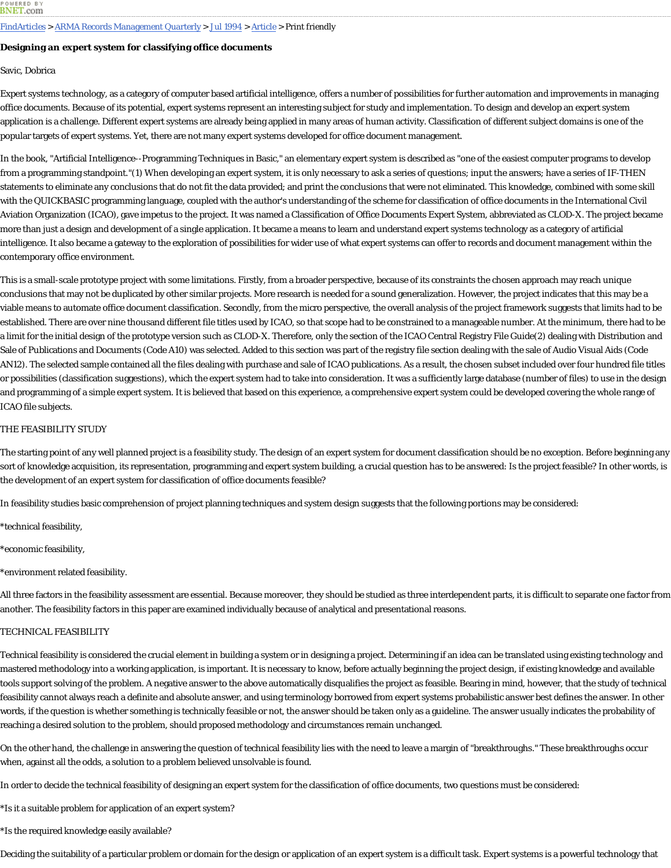### FindArticles > ARMA Records Management Quarterly > Jul 1994 > Article > Print friendly

# **Designing an expert system for classifying office documents**

### Savic, Dobrica

Expert systems technology, as a category of computer based artificial intelligence, offers a number of possibilities for further automation and improvements in managing office documents. Because of its potential, expert systems represent an interesting subject for study and implementation. To design and develop an expert system application is a challenge. Different expert systems are already being applied in many areas of human activity. Classification of different subject domains is one of the popular targets of expert systems. Yet, there are not many expert systems developed for office document management.

In the book, "Artificial Intelligence--Programming Techniques in Basic," an elementary expert system is described as "one of the easiest computer programs to develop from a programming standpoint."(1) When developing an expert system, it is only necessary to ask a series of questions; input the answers; have a series of IF-THEN statements to eliminate any conclusions that do not fit the data provided; and print the conclusions that were not eliminated. This knowledge, combined with some skill with the QUICKBASIC programming language, coupled with the author's understanding of the scheme for classification of office documents in the International Civil Aviation Organization (ICAO), gave impetus to the project. It was named a Classification of Office Documents Expert System, abbreviated as CLOD-X. The project became more than just a design and development of a single application. It became a means to learn and understand expert systems technology as a category of artificial intelligence. It also became a gateway to the exploration of possibilities for wider use of what expert systems can offer to records and document management within the contemporary office environment.

This is a small-scale prototype project with some limitations. Firstly, from a broader perspective, because of its constraints the chosen approach may reach unique conclusions that may not be duplicated by other similar projects. More research is needed for a sound generalization. However, the project indicates that this may be a viable means to automate office document classification. Secondly, from the micro perspective, the overall analysis of the project framework suggests that limits had to be established. There are over nine thousand different file titles used by ICAO, so that scope had to be constrained to a manageable number. At the minimum, there had to be a limit for the initial design of the prototype version such as CLOD-X. Therefore, only the section of the ICAO Central Registry File Guide(2) dealing with Distribution and Sale of Publications and Documents (Code A10) was selected. Added to this section was part of the registry file section dealing with the sale of Audio Visual Aids (Code AN12). The selected sample contained all the files dealing with purchase and sale of ICAO publications. As a result, the chosen subset included over four hundred file titles or possibilities (classification suggestions), which the expert system had to take into consideration. It was a sufficiently large database (number of files) to use in the design and programming of a simple expert system. It is believed that based on this experience, a comprehensive expert system could be developed covering the whole range of ICAO file subjects.

## THE FEASIBILITY STUDY

The starting point of any well planned project is a feasibility study. The design of an expert system for document classification should be no exception. Before beginning any sort of knowledge acquisition, its representation, programming and expert system building, a crucial question has to be answered: Is the project feasible? In other words, is the development of an expert system for classification of office documents feasible?

In feasibility studies basic comprehension of project planning techniques and system design suggests that the following portions may be considered:

- \*technical feasibility,
- \*economic feasibility,
- \*environment related feasibility.

All three factors in the feasibility assessment are essential. Because moreover, they should be studied as three interdependent parts, it is difficult to separate one factor from another. The feasibility factors in this paper are examined individually because of analytical and presentational reasons.

### TECHNICAL FEASIBILITY

Technical feasibility is considered the crucial element in building a system or in designing a project. Determining if an idea can be translated using existing technology and mastered methodology into a working application, is important. It is necessary to know, before actually beginning the project design, if existing knowledge and available tools support solving of the problem. A negative answer to the above automatically disqualifies the project as feasible. Bearing in mind, however, that the study of technical feasibility cannot always reach a definite and absolute answer, and using terminology borrowed from expert systems probabilistic answer best defines the answer. In other words, if the question is whether something is technically feasible or not, the answer should be taken only as a guideline. The answer usually indicates the probability of reaching a desired solution to the problem, should proposed methodology and circumstances remain unchanged.

On the other hand, the challenge in answering the question of technical feasibility lies with the need to leave a margin of "breakthroughs." These breakthroughs occur when, against all the odds, a solution to a problem believed unsolvable is found.

In order to decide the technical feasibility of designing an expert system for the classification of office documents, two questions must be considered:

\*Is it a suitable problem for application of an expert system?

\*Is the required knowledge easily available?

Deciding the suitability of a particular problem or domain for the design or application of an expert system is a difficult task. Expert systems is a powerful technology that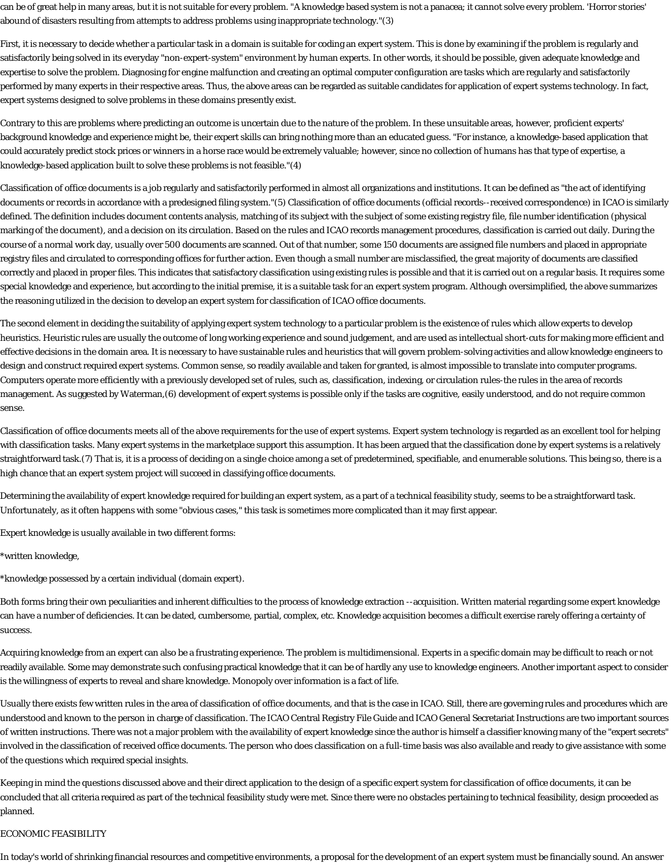can be of great help in many areas, but it is not suitable for every problem. "A knowledge based system is not a panacea; it cannot solve every problem. 'Horror stories' abound of disasters resulting from attempts to address problems using inappropriate technology."(3)

First, it is necessary to decide whether a particular task in a domain is suitable for coding an expert system. This is done by examining if the problem is regularly and satisfactorily being solved in its everyday "non-expert-system" environment by human experts. In other words, it should be possible, given adequate knowledge and expertise to solve the problem. Diagnosing for engine malfunction and creating an optimal computer configuration are tasks which are regularly and satisfactorily performed by many experts in their respective areas. Thus, the above areas can be regarded as suitable candidates for application of expert systems technology. In fact, expert systems designed to solve problems in these domains presently exist.

Contrary to this are problems where predicting an outcome is uncertain due to the nature of the problem. In these unsuitable areas, however, proficient experts' background knowledge and experience might be, their expert skills can bring nothing more than an educated guess. "For instance, a knowledge-based application that could accurately predict stock prices or winners in a horse race would be extremely valuable; however, since no collection of humans has that type of expertise, a knowledge-based application built to solve these problems is not feasible."(4)

Classification of office documents is a job regularly and satisfactorily performed in almost all organizations and institutions. It can be defined as "the act of identifying documents or records in accordance with a predesigned filing system."(5) Classification of office documents (official records--received correspondence) in ICAO is similarly defined. The definition includes document contents analysis, matching of its subject with the subject of some existing registry file, file number identification (physical marking of the document), and a decision on its circulation. Based on the rules and ICAO records management procedures, classification is carried out daily. During the course of a normal work day, usually over 500 documents are scanned. Out of that number, some 150 documents are assigned file numbers and placed in appropriate registry files and circulated to corresponding offices for further action. Even though a small number are misclassified, the great majority of documents are classified correctly and placed in proper files. This indicates that satisfactory classification using existing rules is possible and that it is carried out on a regular basis. It requires some special knowledge and experience, but according to the initial premise, it is a suitable task for an expert system program. Although oversimplified, the above summarizes the reasoning utilized in the decision to develop an expert system for classification of ICAO office documents.

The second element in deciding the suitability of applying expert system technology to a particular problem is the existence of rules which allow experts to develop heuristics. Heuristic rules are usually the outcome of long working experience and sound judgement, and are used as intellectual short-cuts for making more efficient and effective decisions in the domain area. It is necessary to have sustainable rules and heuristics that will govern problem-solving activities and allow knowledge engineers to design and construct required expert systems. Common sense, so readily available and taken for granted, is almost impossible to translate into computer programs. Computers operate more efficiently with a previously developed set of rules, such as, classification, indexing, or circulation rules-the rules in the area of records management. As suggested by Waterman,(6) development of expert systems is possible only if the tasks are cognitive, easily understood, and do not require common sense.

Classification of office documents meets all of the above requirements for the use of expert systems. Expert system technology is regarded as an excellent tool for helping with classification tasks. Many expert systems in the marketplace support this assumption. It has been argued that the classification done by expert systems is a relatively straightforward task.(7) That is, it is a process of deciding on a single choice among a set of predetermined, specifiable, and enumerable solutions. This being so, there is a high chance that an expert system project will succeed in classifying office documents.

Determining the availability of expert knowledge required for building an expert system, as a part of a technical feasibility study, seems to be a straightforward task. Unfortunately, as it often happens with some "obvious cases," this task is sometimes more complicated than it may first appear.

Expert knowledge is usually available in two different forms:

\*written knowledge,

\*knowledge possessed by a certain individual (domain expert).

Both forms bring their own peculiarities and inherent difficulties to the process of knowledge extraction --acquisition. Written material regarding some expert knowledge can have a number of deficiencies. It can be dated, cumbersome, partial, complex, etc. Knowledge acquisition becomes a difficult exercise rarely offering a certainty of success.

Acquiring knowledge from an expert can also be a frustrating experience. The problem is multidimensional. Experts in a specific domain may be difficult to reach or not readily available. Some may demonstrate such confusing practical knowledge that it can be of hardly any use to knowledge engineers. Another important aspect to consider is the willingness of experts to reveal and share knowledge. Monopoly over information is a fact of life.

Usually there exists few written rules in the area of classification of office documents, and that is the case in ICAO. Still, there are governing rules and procedures which are understood and known to the person in charge of classification. The ICAO Central Registry File Guide and ICAO General Secretariat Instructions are two important sources of written instructions. There was not a major problem with the availability of expert knowledge since the author is himself a classifier knowing many of the "expert secrets" involved in the classification of received office documents. The person who does classification on a full-time basis was also available and ready to give assistance with some of the questions which required special insights.

Keeping in mind the questions discussed above and their direct application to the design of a specific expert system for classification of office documents, it can be concluded that all criteria required as part of the technical feasibility study were met. Since there were no obstacles pertaining to technical feasibility, design proceeded as planned.

# ECONOMIC FEASIBILITY

In today's world of shrinking financial resources and competitive environments, a proposal for the development of an expert system must be financially sound. An answer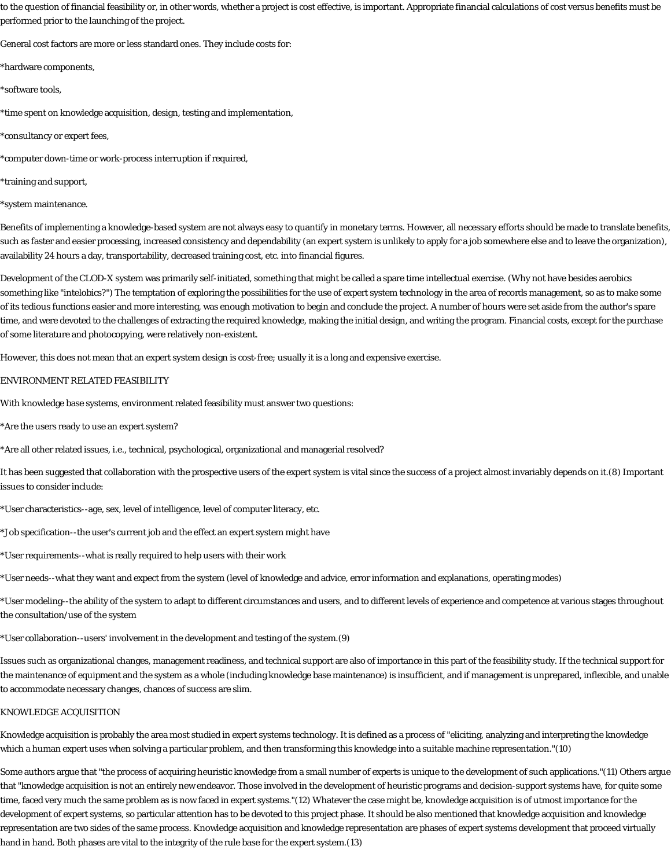to the question of financial feasibility or, in other words, whether a project is cost effective, is important. Appropriate financial calculations of cost versus benefits must be performed prior to the launching of the project.

General cost factors are more or less standard ones. They include costs for:

\*hardware components,

\*software tools,

\*time spent on knowledge acquisition, design, testing and implementation,

\*consultancy or expert fees,

\*computer down-time or work-process interruption if required,

\*training and support,

\*system maintenance.

Benefits of implementing a knowledge-based system are not always easy to quantify in monetary terms. However, all necessary efforts should be made to translate benefits, such as faster and easier processing, increased consistency and dependability (an expert system is unlikely to apply for a job somewhere else and to leave the organization), availability 24 hours a day, transportability, decreased training cost, etc. into financial figures.

Development of the CLOD-X system was primarily self-initiated, something that might be called a spare time intellectual exercise. (Why not have besides aerobics something like "intelobics?") The temptation of exploring the possibilities for the use of expert system technology in the area of records management, so as to make some of its tedious functions easier and more interesting, was enough motivation to begin and conclude the project. A number of hours were set aside from the author's spare time, and were devoted to the challenges of extracting the required knowledge, making the initial design, and writing the program. Financial costs, except for the purchase of some literature and photocopying, were relatively non-existent.

However, this does not mean that an expert system design is cost-free; usually it is a long and expensive exercise.

### ENVIRONMENT RELATED FEASIBILITY

With knowledge base systems, environment related feasibility must answer two questions:

\*Are the users ready to use an expert system?

\*Are all other related issues, i.e., technical, psychological, organizational and managerial resolved?

It has been suggested that collaboration with the prospective users of the expert system is vital since the success of a project almost invariably depends on it.(8) Important issues to consider include:

\*User characteristics--age, sex, level of intelligence, level of computer literacy, etc.

\*Job specification--the user's current job and the effect an expert system might have

\*User requirements--what is really required to help users with their work

\*User needs--what they want and expect from the system (level of knowledge and advice, error information and explanations, operating modes)

\*User modeling--the ability of the system to adapt to different circumstances and users, and to different levels of experience and competence at various stages throughout the consultation/use of the system

\*User collaboration--users' involvement in the development and testing of the system.(9)

Issues such as organizational changes, management readiness, and technical support are also of importance in this part of the feasibility study. If the technical support for the maintenance of equipment and the system as a whole (including knowledge base maintenance) is insufficient, and if management is unprepared, inflexible, and unable to accommodate necessary changes, chances of success are slim.

## KNOWLEDGE ACQUISITION

Knowledge acquisition is probably the area most studied in expert systems technology. It is defined as a process of "eliciting, analyzing and interpreting the knowledge which a human expert uses when solving a particular problem, and then transforming this knowledge into a suitable machine representation."(10)

Some authors argue that "the process of acquiring heuristic knowledge from a small number of experts is unique to the development of such applications."(11) Others argue that "knowledge acquisition is not an entirely new endeavor. Those involved in the development of heuristic programs and decision-support systems have, for quite some time, faced very much the same problem as is now faced in expert systems."(12) Whatever the case might be, knowledge acquisition is of utmost importance for the development of expert systems, so particular attention has to be devoted to this project phase. It should be also mentioned that knowledge acquisition and knowledge representation are two sides of the same process. Knowledge acquisition and knowledge representation are phases of expert systems development that proceed virtually hand in hand. Both phases are vital to the integrity of the rule base for the expert system.(13)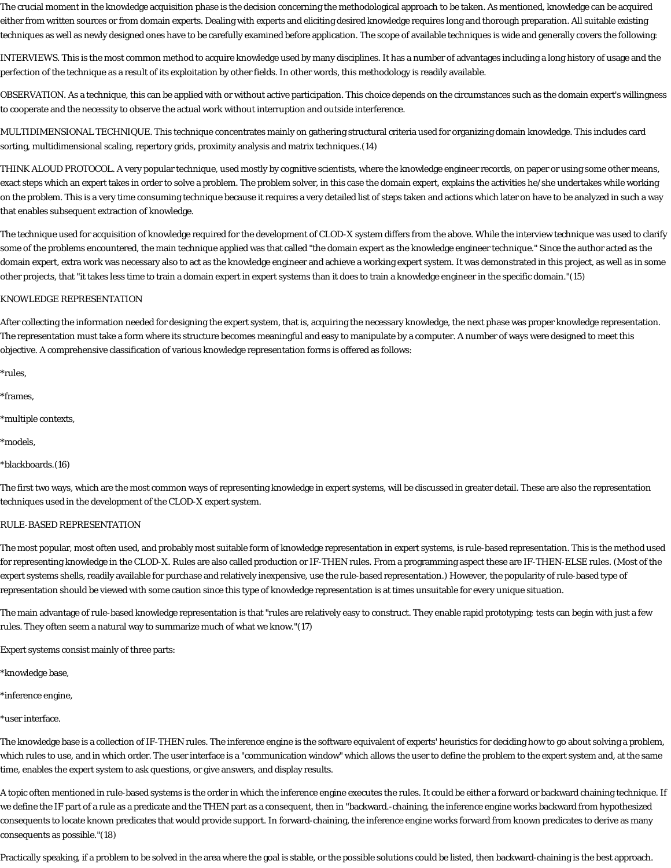The crucial moment in the knowledge acquisition phase is the decision concerning the methodological approach to be taken. As mentioned, knowledge can be acquired either from written sources or from domain experts. Dealing with experts and eliciting desired knowledge requires long and thorough preparation. All suitable existing techniques as well as newly designed ones have to be carefully examined before application. The scope of available techniques is wide and generally covers the following:

INTERVIEWS. This is the most common method to acquire knowledge used by many disciplines. It has a number of advantages including a long history of usage and the perfection of the technique as a result of its exploitation by other fields. In other words, this methodology is readily available.

OBSERVATION. As a technique, this can be applied with or without active participation. This choice depends on the circumstances such as the domain expert's willingness to cooperate and the necessity to observe the actual work without interruption and outside interference.

MULTIDIMENSIONAL TECHNIQUE. This technique concentrates mainly on gathering structural criteria used for organizing domain knowledge. This includes card sorting, multidimensional scaling, repertory grids, proximity analysis and matrix techniques.(14)

THINK ALOUD PROTOCOL. A very popular technique, used mostly by cognitive scientists, where the knowledge engineer records, on paper or using some other means, exact steps which an expert takes in order to solve a problem. The problem solver, in this case the domain expert, explains the activities he/she undertakes while working on the problem. This is a very time consuming technique because it requires a very detailed list of steps taken and actions which later on have to be analyzed in such a way that enables subsequent extraction of knowledge.

The technique used for acquisition of knowledge required for the development of CLOD-X system differs from the above. While the interview technique was used to clarify some of the problems encountered, the main technique applied was that called "the domain expert as the knowledge engineer technique." Since the author acted as the domain expert, extra work was necessary also to act as the knowledge engineer and achieve a working expert system. It was demonstrated in this project, as well as in some other projects, that "it takes less time to train a domain expert in expert systems than it does to train a knowledge engineer in the specific domain."(15)

### KNOWLEDGE REPRESENTATION

After collecting the information needed for designing the expert system, that is, acquiring the necessary knowledge, the next phase was proper knowledge representation. The representation must take a form where its structure becomes meaningful and easy to manipulate by a computer. A number of ways were designed to meet this objective. A comprehensive classification of various knowledge representation forms is offered as follows:

\*rules,

\*frames,

\*multiple contexts,

\*models,

\*blackboards.(16)

The first two ways, which are the most common ways of representing knowledge in expert systems, will be discussed in greater detail. These are also the representation techniques used in the development of the CLOD-X expert system.

### RULE-BASED REPRESENTATION

The most popular, most often used, and probably most suitable form of knowledge representation in expert systems, is rule-based representation. This is the method used for representing knowledge in the CLOD-X. Rules are also called production or IF-THEN rules. From a programming aspect these are IF-THEN-ELSE rules. (Most of the expert systems shells, readily available for purchase and relatively inexpensive, use the rule-based representation.) However, the popularity of rule-based type of representation should be viewed with some caution since this type of knowledge representation is at times unsuitable for every unique situation.

The main advantage of rule-based knowledge representation is that "rules are relatively easy to construct. They enable rapid prototyping; tests can begin with just a few rules. They often seem a natural way to summarize much of what we know."(17)

Expert systems consist mainly of three parts:

\*knowledge base,

\*inference engine,

\*user interface.

The knowledge base is a collection of IF-THEN rules. The inference engine is the software equivalent of experts' heuristics for deciding how to go about solving a problem, which rules to use, and in which order. The user interface is a "communication window" which allows the user to define the problem to the expert system and, at the same time, enables the expert system to ask questions, or give answers, and display results.

A topic often mentioned in rule-based systems is the order in which the inference engine executes the rules. It could be either a forward or backward chaining technique. If we define the IF part of a rule as a predicate and the THEN part as a consequent, then in "backward.-chaining, the inference engine works backward from hypothesized consequents to locate known predicates that would provide support. In forward-chaining, the inference engine works forward from known predicates to derive as many consequents as possible."(18)

Practically speaking, if a problem to be solved in the area where the goal is stable, or the possible solutions could be listed, then backward-chaining is the best approach.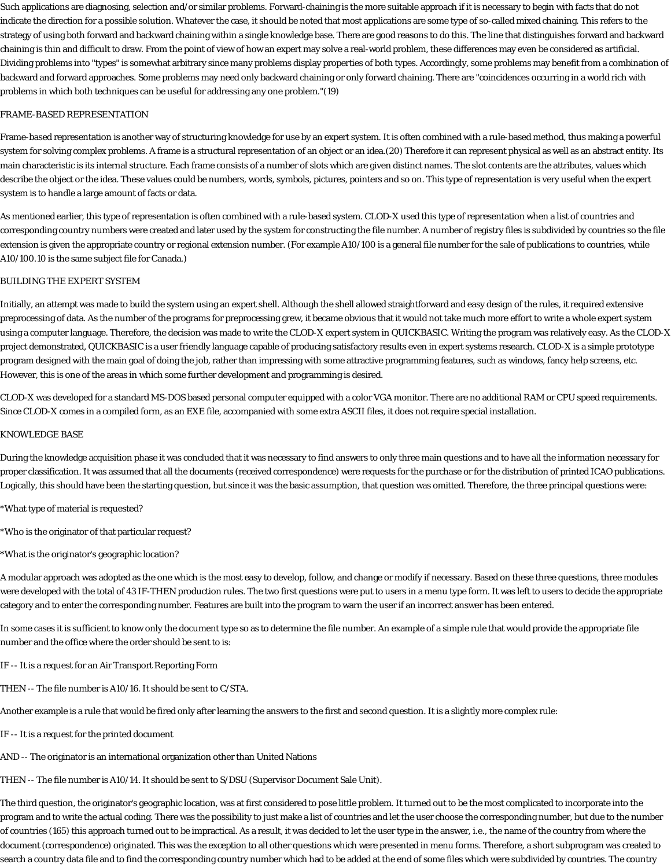Such applications are diagnosing, selection and/or similar problems. Forward-chaining is the more suitable approach if it is necessary to begin with facts that do not indicate the direction for a possible solution. Whatever the case, it should be noted that most applications are some type of so-called mixed chaining. This refers to the strategy of using both forward and backward chaining within a single knowledge base. There are good reasons to do this. The line that distinguishes forward and backward chaining is thin and difficult to draw. From the point of view of how an expert may solve a real-world problem, these differences may even be considered as artificial. Dividing problems into "types" is somewhat arbitrary since many problems display properties of both types. Accordingly, some problems may benefit from a combination of backward and forward approaches. Some problems may need only backward chaining or only forward chaining. There are "coincidences occurring in a world rich with problems in which both techniques can be useful for addressing any one problem."(19)

#### FRAME-BASED REPRESENTATION

Frame-based representation is another way of structuring knowledge for use by an expert system. It is often combined with a rule-based method, thus making a powerful system for solving complex problems. A frame is a structural representation of an object or an idea.(20) Therefore it can represent physical as well as an abstract entity. Its main characteristic is its internal structure. Each frame consists of a number of slots which are given distinct names. The slot contents are the attributes, values which describe the object or the idea. These values could be numbers, words, symbols, pictures, pointers and so on. This type of representation is very useful when the expert system is to handle a large amount of facts or data.

As mentioned earlier, this type of representation is often combined with a rule-based system. CLOD-X used this type of representation when a list of countries and corresponding country numbers were created and later used by the system for constructing the file number. A number of registry files is subdivided by countries so the file extension is given the appropriate country or regional extension number. (For example A10/100 is a general file number for the sale of publications to countries, while A10/100.10 is the same subject file for Canada.)

### BUILDING THE EXPERT SYSTEM

Initially, an attempt was made to build the system using an expert shell. Although the shell allowed straightforward and easy design of the rules, it required extensive preprocessing of data. As the number of the programs for preprocessing grew, it became obvious that it would not take much more effort to write a whole expert system using a computer language. Therefore, the decision was made to write the CLOD-X expert system in QUICKBASIC. Writing the program was relatively easy. As the CLOD-X project demonstrated, QUICKBASIC is a user friendly language capable of producing satisfactory results even in expert systems research. CLOD-X is a simple prototype program designed with the main goal of doing the job, rather than impressing with some attractive programming features, such as windows, fancy help screens, etc. However, this is one of the areas in which some further development and programming is desired.

CLOD-X was developed for a standard MS-DOS based personal computer equipped with a color VGA monitor. There are no additional RAM or CPU speed requirements. Since CLOD-X comes in a compiled form, as an EXE file, accompanied with some extra ASCII files, it does not require special installation.

### KNOWLEDGE BASE

During the knowledge acquisition phase it was concluded that it was necessary to find answers to only three main questions and to have all the information necessary for proper classification. It was assumed that all the documents (received correspondence) were requests for the purchase or for the distribution of printed ICAO publications. Logically, this should have been the starting question, but since it was the basic assumption, that question was omitted. Therefore, the three principal questions were:

- \*What type of material is requested?
- \*Who is the originator of that particular request?
- \*What is the originator's geographic location?

A modular approach was adopted as the one which is the most easy to develop, follow, and change or modify if necessary. Based on these three questions, three modules were developed with the total of 43 IF-THEN production rules. The two first questions were put to users in a menu type form. It was left to users to decide the appropriate category and to enter the corresponding number. Features are built into the program to warn the user if an incorrect answer has been entered.

In some cases it is sufficient to know only the document type so as to determine the file number. An example of a simple rule that would provide the appropriate file number and the office where the order should be sent to is:

- IF -- It is a request for an Air Transport Reporting Form
- THEN -- The file number is A10/16. It should be sent to C/STA.
- Another example is a rule that would be fired only after learning the answers to the first and second question. It is a slightly more complex rule:
- IF -- It is a request for the printed document
- AND -- The originator is an international organization other than United Nations
- THEN -- The file number is A10/14. It should be sent to S/DSU (Supervisor Document Sale Unit).

The third question, the originator's geographic location, was at first considered to pose little problem. It turned out to be the most complicated to incorporate into the program and to write the actual coding. There was the possibility to just make a list of countries and let the user choose the corresponding number, but due to the number of countries (165) this approach turned out to be impractical. As a result, it was decided to let the user type in the answer, i.e., the name of the country from where the document (correspondence) originated. This was the exception to all other questions which were presented in menu forms. Therefore, a short subprogram was created to search a country data file and to find the corresponding country number which had to be added at the end of some files which were subdivided by countries. The country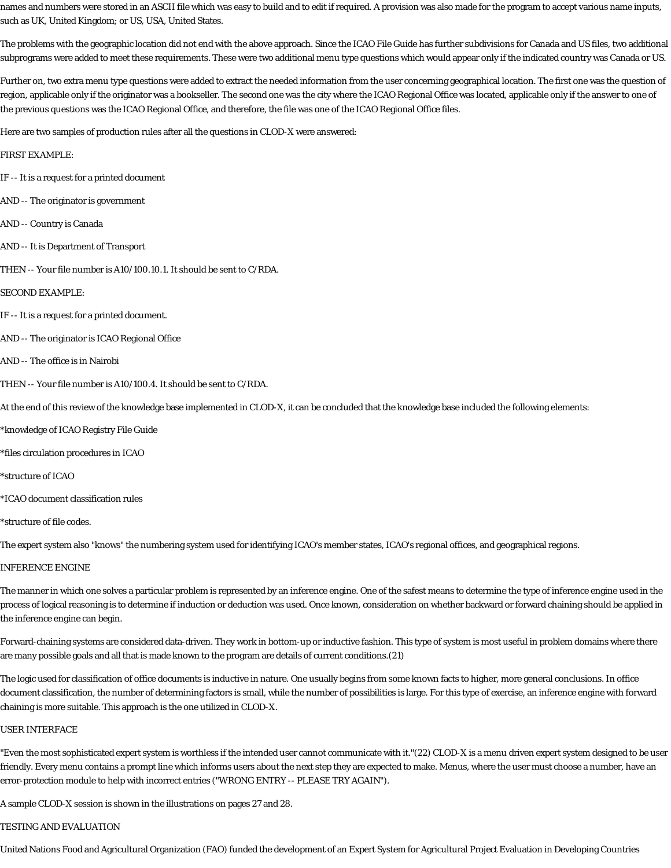names and numbers were stored in an ASCII file which was easy to build and to edit if required. A provision was also made for the program to accept various name inputs, such as UK, United Kingdom; or US, USA, United States.

The problems with the geographic location did not end with the above approach. Since the ICAO File Guide has further subdivisions for Canada and US files, two additional subprograms were added to meet these requirements. These were two additional menu type questions which would appear only if the indicated country was Canada or US.

Further on, two extra menu type questions were added to extract the needed information from the user concerning geographical location. The first one was the question of region, applicable only if the originator was a bookseller. The second one was the city where the ICAO Regional Office was located, applicable only if the answer to one of the previous questions was the ICAO Regional Office, and therefore, the file was one of the ICAO Regional Office files.

Here are two samples of production rules after all the questions in CLOD-X were answered:

#### FIRST EXAMPLE:

- IF -- It is a request for a printed document
- AND -- The originator is government
- AND -- Country is Canada
- AND -- It is Department of Transport
- THEN -- Your file number is A10/100.10.1. It should be sent to C/RDA.

#### SECOND EXAMPLE:

- IF -- It is a request for a printed document.
- AND -- The originator is ICAO Regional Office
- AND -- The office is in Nairobi
- THEN -- Your file number is A10/100.4. It should be sent to C/RDA.

At the end of this review of the knowledge base implemented in CLOD-X, it can be concluded that the knowledge base included the following elements:

- \*knowledge of ICAO Registry File Guide
- \*files circulation procedures in ICAO
- \*structure of ICAO
- \*ICAO document classification rules
- \*structure of file codes.

The expert system also "knows" the numbering system used for identifying ICAO's member states, ICAO's regional offices, and geographical regions.

### INFERENCE ENGINE

The manner in which one solves a particular problem is represented by an inference engine. One of the safest means to determine the type of inference engine used in the process of logical reasoning is to determine if induction or deduction was used. Once known, consideration on whether backward or forward chaining should be applied in the inference engine can begin.

Forward-chaining systems are considered data-driven. They work in bottom-up or inductive fashion. This type of system is most useful in problem domains where there are many possible goals and all that is made known to the program are details of current conditions.(21)

The logic used for classification of office documents is inductive in nature. One usually begins from some known facts to higher, more general conclusions. In office document classification, the number of determining factors is small, while the number of possibilities is large. For this type of exercise, an inference engine with forward chaining is more suitable. This approach is the one utilized in CLOD-X.

#### USER INTERFACE

"Even the most sophisticated expert system is worthless if the intended user cannot communicate with it."(22) CLOD-X is a menu driven expert system designed to be user friendly. Every menu contains a prompt line which informs users about the next step they are expected to make. Menus, where the user must choose a number, have an error-protection module to help with incorrect entries ("WRONG ENTRY -- PLEASE TRY AGAIN").

A sample CLOD-X session is shown in the illustrations on pages 27 and 28.

#### TESTING AND EVALUATION

United Nations Food and Agricultural Organization (FAO) funded the development of an Expert System for Agricultural Project Evaluation in Developing Countries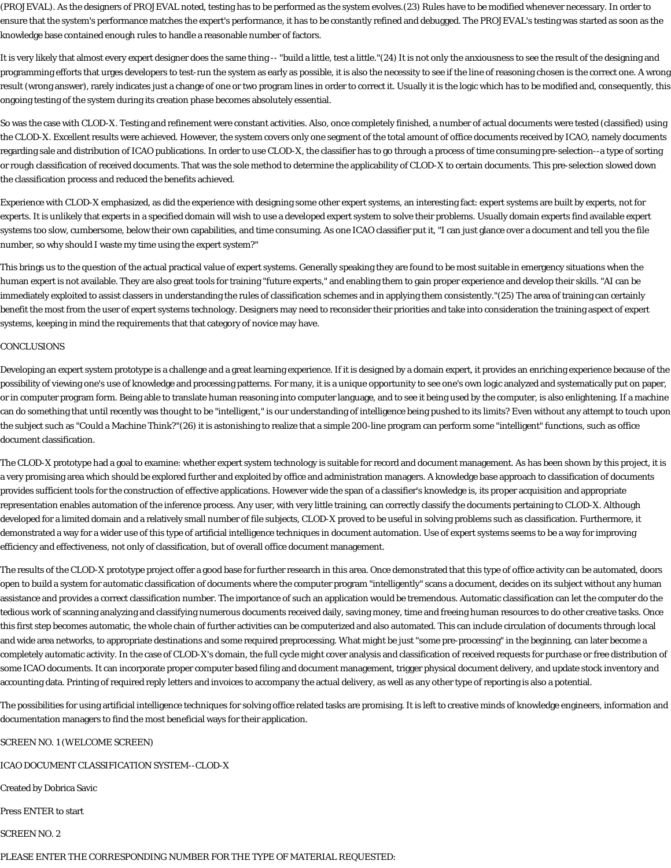(PROJEVAL). As the designers of PROJEVAL noted, testing has to be performed as the system evolves.(23) Rules have to be modified whenever necessary. In order to ensure that the system's performance matches the expert's performance, it has to be constantly refined and debugged. The PROJEVAL's testing was started as soon as the knowledge base contained enough rules to handle a reasonable number of factors.

It is very likely that almost every expert designer does the same thing -- "build a little, test a little."(24) It is not only the anxiousness to see the result of the designing and programming efforts that urges developers to test-run the system as early as possible, it is also the necessity to see if the line of reasoning chosen is the correct one. A wrong result (wrong answer), rarely indicates just a change of one or two program lines in order to correct it. Usually it is the logic which has to be modified and, consequently, this ongoing testing of the system during its creation phase becomes absolutely essential.

So was the case with CLOD-X. Testing and refinement were constant activities. Also, once completely finished, a number of actual documents were tested (classified) using the CLOD-X. Excellent results were achieved. However, the system covers only one segment of the total amount of office documents received by ICAO, namely documents regarding sale and distribution of ICAO publications. In order to use CLOD-X, the classifier has to go through a process of time consuming pre-selection--a type of sorting or rough classification of received documents. That was the sole method to determine the applicability of CLOD-X to certain documents. This pre-selection slowed down the classification process and reduced the benefits achieved.

Experience with CLOD-X emphasized, as did the experience with designing some other expert systems, an interesting fact: expert systems are built by experts, not for experts. It is unlikely that experts in a specified domain will wish to use a developed expert system to solve their problems. Usually domain experts find available expert systems too slow, cumbersome, below their own capabilities, and time consuming. As one ICAO classifier put it, "I can just glance over a document and tell you the file number, so why should I waste my time using the expert system?"

This brings us to the question of the actual practical value of expert systems. Generally speaking they are found to be most suitable in emergency situations when the human expert is not available. They are also great tools for training "future experts," and enabling them to gain proper experience and develop their skills. "AI can be immediately exploited to assist classers in understanding the rules of classification schemes and in applying them consistently."(25) The area of training can certainly benefit the most from the user of expert systems technology. Designers may need to reconsider their priorities and take into consideration the training aspect of expert systems, keeping in mind the requirements that that category of novice may have.

#### CONCLUSIONS

Developing an expert system prototype is a challenge and a great learning experience. If it is designed by a domain expert, it provides an enriching experience because of the possibility of viewing one's use of knowledge and processing patterns. For many, it is a unique opportunity to see one's own logic analyzed and systematically put on paper, or in computer program form. Being able to translate human reasoning into computer language, and to see it being used by the computer, is also enlightening. If a machine can do something that until recently was thought to be "intelligent," is our understanding of intelligence being pushed to its limits? Even without any attempt to touch upon the subject such as "Could a Machine Think?"(26) it is astonishing to realize that a simple 200-line program can perform some "intelligent" functions, such as office document classification.

The CLOD-X prototype had a goal to examine: whether expert system technology is suitable for record and document management. As has been shown by this project, it is a very promising area which should be explored further and exploited by office and administration managers. A knowledge base approach to classification of documents provides sufficient tools for the construction of effective applications. However wide the span of a classifier's knowledge is, its proper acquisition and appropriate representation enables automation of the inference process. Any user, with very little training, can correctly classify the documents pertaining to CLOD-X. Although developed for a limited domain and a relatively small number of file subjects, CLOD-X proved to be useful in solving problems such as classification. Furthermore, it demonstrated a way for a wider use of this type of artificial intelligence techniques in document automation. Use of expert systems seems to be a way for improving efficiency and effectiveness, not only of classification, but of overall office document management.

The results of the CLOD-X prototype project offer a good base for further research in this area. Once demonstrated that this type of office activity can be automated, doors open to build a system for automatic classification of documents where the computer program "intelligently" scans a document, decides on its subject without any human assistance and provides a correct classification number. The importance of such an application would be tremendous. Automatic classification can let the computer do the tedious work of scanning analyzing and classifying numerous documents received daily, saving money, time and freeing human resources to do other creative tasks. Once this first step becomes automatic, the whole chain of further activities can be computerized and also automated. This can include circulation of documents through local and wide area networks, to appropriate destinations and some required preprocessing. What might be just "some pre-processing" in the beginning, can later become a completely automatic activity. In the case of CLOD-X's domain, the full cycle might cover analysis and classification of received requests for purchase or free distribution of some ICAO documents. It can incorporate proper computer based filing and document management, trigger physical document delivery, and update stock inventory and accounting data. Printing of required reply letters and invoices to accompany the actual delivery, as well as any other type of reporting is also a potential.

The possibilities for using artificial intelligence techniques for solving office related tasks are promising. It is left to creative minds of knowledge engineers, information and documentation managers to find the most beneficial ways for their application.

SCREEN NO. 1 (WELCOME SCREEN)

ICAO DOCUMENT CLASSIFICATION SYSTEM--CLOD-X

Created by Dobrica Savic

Press ENTER to start

SCREEN NO. 2

PLEASE ENTER THE CORRESPONDING NUMBER FOR THE TYPE OF MATERIAL REQUESTED: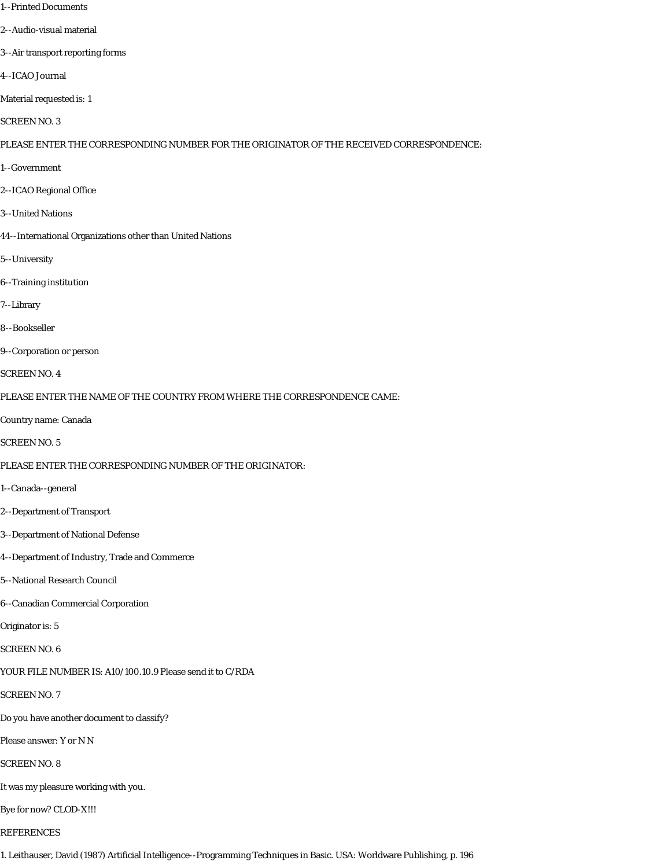- 1--Printed Documents
- 2--Audio-visual material
- 3--Air transport reporting forms
- 4--ICAO Journal
- Material requested is: 1
- SCREEN NO. 3

PLEASE ENTER THE CORRESPONDING NUMBER FOR THE ORIGINATOR OF THE RECEIVED CORRESPONDENCE:

- 1--Government
- 2--ICAO Regional Office
- 3--United Nations
- 44--International Organizations other than United Nations
- 5--University
- 6--Training institution
- 7--Library
- 8--Bookseller
- 9--Corporation or person
- SCREEN NO. 4
- PLEASE ENTER THE NAME OF THE COUNTRY FROM WHERE THE CORRESPONDENCE CAME:
- Country name: Canada
- SCREEN NO. 5
- PLEASE ENTER THE CORRESPONDING NUMBER OF THE ORIGINATOR:
- 1--Canada--general
- 2--Department of Transport
- 3--Department of National Defense
- 4--Department of Industry, Trade and Commerce
- 5--National Research Council
- 6--Canadian Commercial Corporation
- Originator is: 5
- SCREEN NO. 6
- YOUR FILE NUMBER IS: A10/100.10.9 Please send it to C/RDA
- SCREEN NO. 7
- Do you have another document to classify?
- Please answer: Y or N N
- SCREEN NO. 8
- It was my pleasure working with you.
- Bye for now? CLOD-X!!!
- REFERENCES
- 1. Leithauser, David (1987) Artificial Intelligence--Programming Techniques in Basic. USA: Worldware Publishing, p. 196